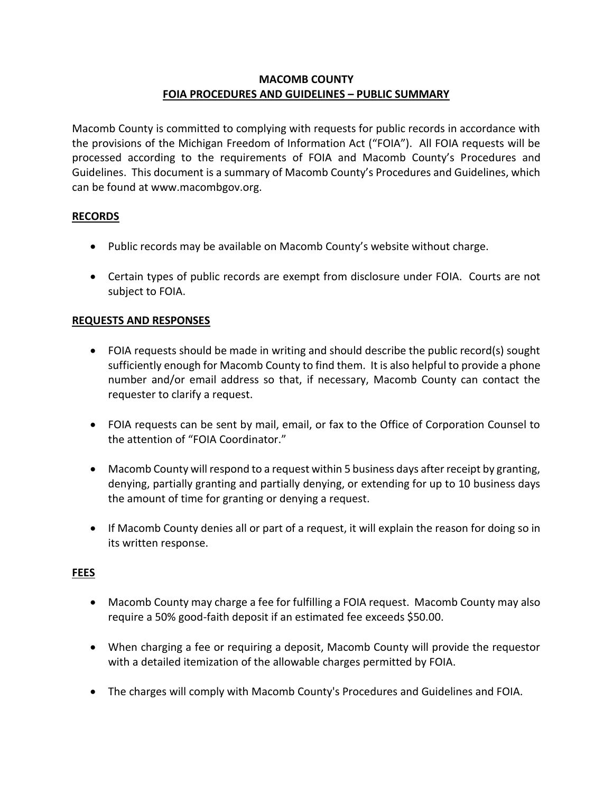# **MACOMB COUNTY FOIA PROCEDURES AND GUIDELINES – PUBLIC SUMMARY**

Macomb County is committed to complying with requests for public records in accordance with the provisions of the Michigan Freedom of Information Act ("FOIA"). All FOIA requests will be processed according to the requirements of FOIA and Macomb County's Procedures and Guidelines. This document is a summary of Macomb County's Procedures and Guidelines, which can be found at www.macombgov.org.

#### **RECORDS**

- Public records may be available on Macomb County's website without charge.
- Certain types of public records are exempt from disclosure under FOIA. Courts are not subject to FOIA.

#### **REQUESTS AND RESPONSES**

- FOIA requests should be made in writing and should describe the public record(s) sought sufficiently enough for Macomb County to find them. It is also helpful to provide a phone number and/or email address so that, if necessary, Macomb County can contact the requester to clarify a request.
- FOIA requests can be sent by mail, email, or fax to the Office of Corporation Counsel to the attention of "FOIA Coordinator."
- Macomb County will respond to a request within 5 business days after receipt by granting, denying, partially granting and partially denying, or extending for up to 10 business days the amount of time for granting or denying a request.
- If Macomb County denies all or part of a request, it will explain the reason for doing so in its written response.

# **FEES**

- Macomb County may charge a fee for fulfilling a FOIA request. Macomb County may also require a 50% good-faith deposit if an estimated fee exceeds \$50.00.
- When charging a fee or requiring a deposit, Macomb County will provide the requestor with a detailed itemization of the allowable charges permitted by FOIA.
- The charges will comply with Macomb County's Procedures and Guidelines and FOIA.